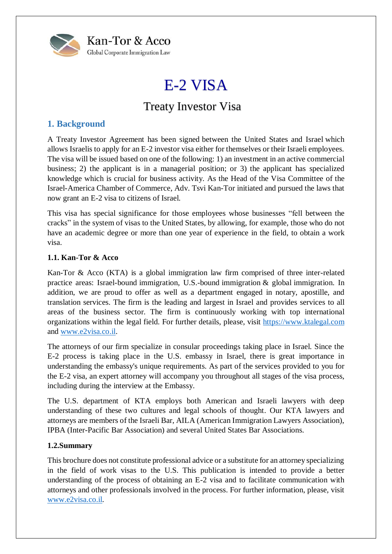

# E-2 VISA

## Treaty Investor Visa

### **1. Background**

A Treaty Investor Agreement has been signed between the United States and Israel which allows Israelis to apply for an E-2 investor visa either for themselves or their Israeli employees. The visa will be issued based on one of the following: 1) an investment in an active commercial business; 2) the applicant is in a managerial position; or 3) the applicant has specialized knowledge which is crucial for business activity. As the Head of the Visa Committee of the Israel-America Chamber of Commerce, Adv. Tsvi Kan-Tor initiated and pursued the laws that now grant an E-2 visa to citizens of Israel.

This visa has special significance for those employees whose businesses "fell between the cracks" in the system of visas to the United States, by allowing, for example, those who do not have an academic degree or more than one year of experience in the field, to obtain a work visa.

#### **1.1. Kan-Tor & Acco**

Kan-Tor & Acco (KTA) is a global immigration law firm comprised of three inter-related practice areas: Israel-bound immigration, U.S.-bound immigration & global immigration. In addition, we are proud to offer as well as a department engaged in notary, apostille, and translation services. The firm is the leading and largest in Israel and provides services to all areas of the business sector. The firm is continuously working with top international organizations within the legal field. For further details, please, visit [https://www.ktalegal.com](https://www.ktalegal.com/about-us) and [www.e2visa.co.il.](http://www.e2visa.co.il/)

The attorneys of our firm specialize in consular proceedings taking place in Israel. Since the E-2 process is taking place in the U.S. embassy in Israel, there is great importance in understanding the embassy's unique requirements. As part of the services provided to you for the E-2 visa, an expert attorney will accompany you throughout all stages of the visa process, including during the interview at the Embassy.

The U.S. department of KTA employs both American and Israeli lawyers with deep understanding of these two cultures and legal schools of thought. Our KTA lawyers and attorneys are members of the Israeli Bar, AILA (American Immigration Lawyers Association), IPBA (Inter-Pacific Bar Association) and several United States Bar Associations.

#### **1.2.Summary**

This brochure does not constitute professional advice or a substitute for an attorney specializing in the field of work visas to the U.S. This publication is intended to provide a better understanding of the process of obtaining an E-2 visa and to facilitate communication with attorneys and other professionals involved in the process. For further information, please, visit [www.e2visa.co.il.](http://www.e2visa.co.il/)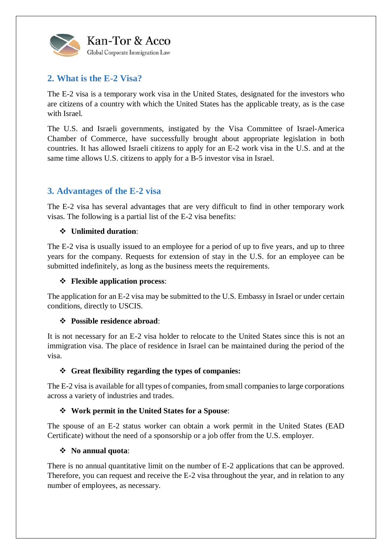

## **2. What is the E-2 Visa?**

The E-2 visa is a temporary work visa in the United States, designated for the investors who are citizens of a country with which the United States has the applicable treaty, as is the case with Israel.

The U.S. and Israeli governments, instigated by the Visa Committee of Israel-America Chamber of Commerce, have successfully brought about appropriate legislation in both countries. It has allowed Israeli citizens to apply for an E-2 work visa in the U.S. and at the same time allows U.S. citizens to apply for a B-5 investor visa in Israel.

## **3. Advantages of the E-2 visa**

The E-2 visa has several advantages that are very difficult to find in other temporary work visas. The following is a partial list of the E-2 visa benefits:

#### **Unlimited duration**:

The E-2 visa is usually issued to an employee for a period of up to five years, and up to three years for the company. Requests for extension of stay in the U.S. for an employee can be submitted indefinitely, as long as the business meets the requirements.

#### **Flexible application process**:

The application for an E-2 visa may be submitted to the U.S. Embassy in Israel or under certain conditions, directly to USCIS.

#### **Possible residence abroad**:

It is not necessary for an E-2 visa holder to relocate to the United States since this is not an immigration visa. The place of residence in Israel can be maintained during the period of the visa.

#### **Great flexibility regarding the types of companies:**

The E-2 visa is available for all types of companies, from small companies to large corporations across a variety of industries and trades.

#### **Work permit in the United States for a Spouse**:

The spouse of an E-2 status worker can obtain a work permit in the United States (EAD Certificate) without the need of a sponsorship or a job offer from the U.S. employer.

#### **No annual quota**:

There is no annual quantitative limit on the number of E-2 applications that can be approved. Therefore, you can request and receive the E-2 visa throughout the year, and in relation to any number of employees, as necessary.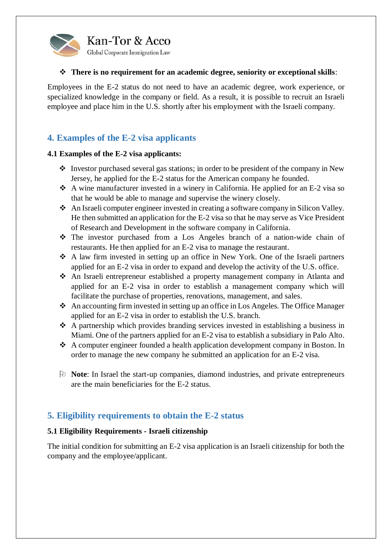

#### **There is no requirement for an academic degree, seniority or exceptional skills**:

Employees in the E-2 status do not need to have an academic degree, work experience, or specialized knowledge in the company or field. As a result, it is possible to recruit an Israeli employee and place him in the U.S. shortly after his employment with the Israeli company.

## **4. Examples of the E-2 visa applicants**

#### **4.1 Examples of the E-2 visa applicants:**

- $\cdot$  Investor purchased several gas stations; in order to be president of the company in New Jersey, he applied for the E-2 status for the American company he founded.
- $\triangle$  A wine manufacturer invested in a winery in California. He applied for an E-2 visa so that he would be able to manage and supervise the winery closely.
- An Israeli computer engineer invested in creating a software company in Silicon Valley. He then submitted an application for the E-2 visa so that he may serve as Vice President of Research and Development in the software company in California.
- The investor purchased from a Los Angeles branch of a nation-wide chain of restaurants. He then applied for an E-2 visa to manage the restaurant.
- A law firm invested in setting up an office in New York. One of the Israeli partners applied for an E-2 visa in order to expand and develop the activity of the U.S. office.
- An Israeli entrepreneur established a property management company in Atlanta and applied for an E-2 visa in order to establish a management company which will facilitate the purchase of properties, renovations, management, and sales.
- An accounting firm invested in setting up an office in Los Angeles. The Office Manager applied for an E-2 visa in order to establish the U.S. branch.
- A partnership which provides branding services invested in establishing a business in Miami. One of the partners applied for an E-2 visa to establish a subsidiary in Palo Alto.
- A computer engineer founded a health application development company in Boston. In order to manage the new company he submitted an application for an E-2 visa.
- **Note**: In Israel the start-up companies, diamond industries, and private entrepreneurs are the main beneficiaries for the E-2 status.

## **5. Eligibility requirements to obtain the E-2 status**

#### **5.1 Eligibility Requirements - Israeli citizenship**

The initial condition for submitting an E-2 visa application is an Israeli citizenship for both the company and the employee/applicant.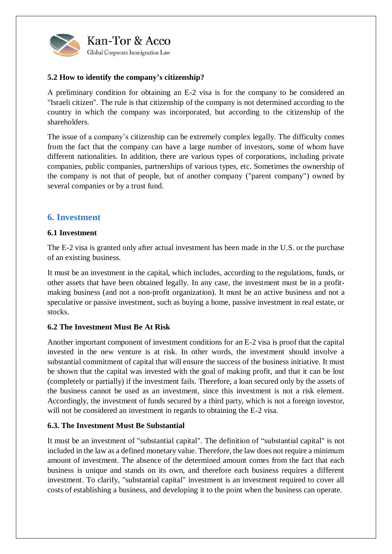

#### **5.2 How to identify the company's citizenship?**

A preliminary condition for obtaining an E-2 visa is for the company to be considered an "Israeli citizen". The rule is that citizenship of the company is not determined according to the country in which the company was incorporated, but according to the citizenship of the shareholders.

The issue of a company's citizenship can be extremely complex legally. The difficulty comes from the fact that the company can have a large number of investors, some of whom have different nationalities. In addition, there are various types of corporations, including private companies, public companies, partnerships of various types, etc. Sometimes the ownership of the company is not that of people, but of another company ("parent company") owned by several companies or by a trust fund.

#### **6. Investment**

#### **6.1 Investment**

The E-2 visa is granted only after actual investment has been made in the U.S. or the purchase of an existing business.

It must be an investment in the capital, which includes, according to the regulations, funds, or other assets that have been obtained legally. In any case, the investment must be in a profitmaking business (and not a non-profit organization). It must be an active business and not a speculative or passive investment, such as buying a home, passive investment in real estate, or stocks.

#### **6.2 The Investment Must Be At Risk**

Another important component of investment conditions for an E-2 visa is proof that the capital invested in the new venture is at risk. In other words, the investment should involve a substantial commitment of capital that will ensure the success of the business initiative. It must be shown that the capital was invested with the goal of making profit, and that it can be lost (completely or partially) if the investment fails. Therefore, a loan secured only by the assets of the business cannot be used as an investment, since this investment is not a risk element. Accordingly, the investment of funds secured by a third party, which is not a foreign investor, will not be considered an investment in regards to obtaining the E-2 visa.

#### **6.3. The Investment Must Be Substantial**

It must be an investment of "substantial capital". The definition of "substantial capital" is not included in the law as a defined monetary value. Therefore, the law does not require a minimum amount of investment. The absence of the determined amount comes from the fact that each business is unique and stands on its own, and therefore each business requires a different investment. To clarify, "substantial capital" investment is an investment required to cover all costs of establishing a business, and developing it to the point when the business can operate.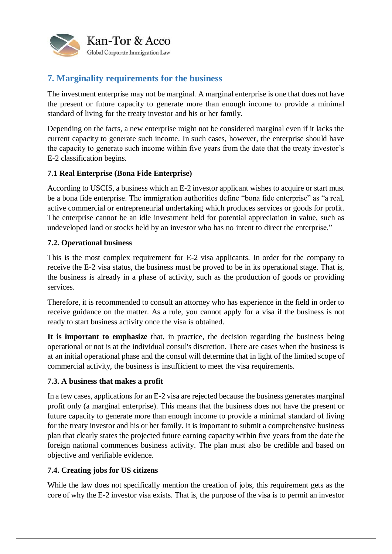

## **7. Marginality requirements for the business**

The investment enterprise may not be marginal. A marginal enterprise is one that does not have the present or future capacity to generate more than enough income to provide a minimal standard of living for the treaty investor and his or her family.

Depending on the facts, a new enterprise might not be considered marginal even if it lacks the current capacity to generate such income. In such cases, however, the enterprise should have the capacity to generate such income within five years from the date that the treaty investor's E-2 classification begins.

#### **7.1 Real Enterprise (Bona Fide Enterprise)**

According to USCIS, a business which an E-2 investor applicant wishes to acquire or start must be a [bona fide enterprise.](https://www.uscis.gov/working-united-states/working-us) The immigration authorities define "bona fide enterprise" as "a real, active commercial or entrepreneurial undertaking which produces services or goods for profit. The enterprise cannot be an idle investment held for potential appreciation in value, such as undeveloped land or stocks held by an investor who has no intent to direct the enterprise."

#### **7.2. Operational business**

This is the most complex requirement for E-2 visa applicants. In order for the company to receive the E-2 visa status, the business must be proved to be in its operational stage. That is, the business is already in a phase of activity, such as the production of goods or providing services.

Therefore, it is recommended to consult an attorney who has experience in the field in order to receive guidance on the matter. As a rule, you cannot apply for a visa if the business is not ready to start business activity once the visa is obtained.

**It is important to emphasize** that, in practice, the decision regarding the business being operational or not is at the individual consul's discretion. There are cases when the business is at an initial operational phase and the consul will determine that in light of the limited scope of commercial activity, the business is insufficient to meet the visa requirements.

#### **7.3. A business that makes a profit**

In a few cases, applications for an E-2 visa are rejected because the business generates marginal profit only (a marginal enterprise). This means that the business does not have the present or future capacity to generate more than enough income to provide a minimal standard of living for the treaty investor and his or her family. It is important to submit a comprehensive business plan that clearly states the projected future earning capacity within five years from the date the foreign national commences business activity. The plan must also be credible and based on objective and verifiable evidence.

#### **7.4. Creating jobs for US citizens**

While the law does not specifically mention the creation of jobs, this requirement gets as the core of why the E-2 investor visa exists. That is, the purpose of the visa is to permit an investor